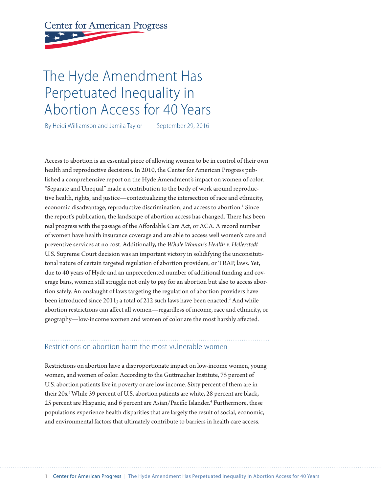# **Center for American Progress**

## The Hyde Amendment Has Perpetuated Inequality in Abortion Access for 40 Years

By Heidi Williamson and Jamila Taylor September 29, 2016

Access to abortion is an essential piece of allowing women to be in control of their own health and reproductive decisions. In 2010, the Center for American Progress published a comprehensive report on the Hyde Amendment's impact on women of color. "Separate and Unequal" made a contribution to the body of work around reproductive health, rights, and justice—contextualizing the intersection of race and ethnicity, economic disadvantage, reproductive discrimination, and access to abortion.<sup>1</sup> Since the report's publication, the landscape of abortion access has changed. There has been real progress with the passage of the Affordable Care Act, or ACA. A record number of women have health insurance coverage and are able to access well women's care and preventive services at no cost. Additionally, the *Whole Woman's Health v. Hellerstedt*  U.S. Supreme Court decision was an important victory in solidifying the unconsitutitonal nature of certain targeted regulation of abortion providers, or TRAP, laws. Yet, due to 40 years of Hyde and an unprecedented number of additional funding and coverage bans, women still struggle not only to pay for an abortion but also to access abortion safely. An onslaught of laws targeting the regulation of abortion providers have been introduced since 2011; a total of 212 such laws have been enacted.<sup>2</sup> And while abortion restrictions can affect all women—regardless of income, race and ethnicity, or geography—low-income women and women of color are the most harshly affected.

## Restrictions on abortion harm the most vulnerable women

Restrictions on abortion have a disproportionate impact on low-income women, young women, and women of color. According to the Guttmacher Institute, 75 percent of U.S. abortion patients live in poverty or are low income. Sixty percent of them are in their 20s.<sup>3</sup> While 39 percent of U.S. abortion patients are white, 28 percent are black, 25 percent are Hispanic, and 6 percent are Asian/Pacific Islander.<sup>4</sup> Furthermore, these populations experience health disparities that are largely the result of social, economic, and environmental factors that ultimately contribute to barriers in health care access.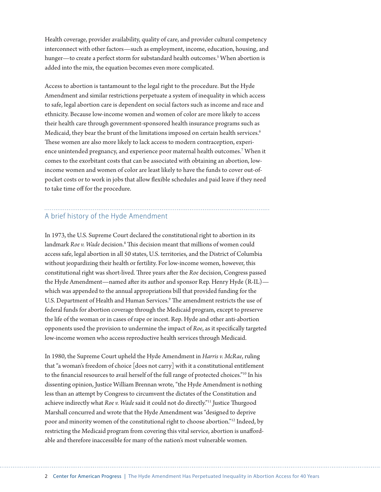Health coverage, provider availability, quality of care, and provider cultural competency interconnect with other factors—such as employment, income, education, housing, and hunger—to create a perfect storm for substandard health outcomes.<sup>5</sup> When abortion is added into the mix, the equation becomes even more complicated.

Access to abortion is tantamount to the legal right to the procedure. But the Hyde Amendment and similar restrictions perpetuate a system of inequality in which access to safe, legal abortion care is dependent on social factors such as income and race and ethnicity. Because low-income women and women of color are more likely to access their health care through government-sponsored health insurance programs such as Medicaid, they bear the brunt of the limitations imposed on certain health services.<sup>6</sup> These women are also more likely to lack access to modern contraception, experience unintended pregnancy, and experience poor maternal health outcomes.7 When it comes to the exorbitant costs that can be associated with obtaining an abortion, lowincome women and women of color are least likely to have the funds to cover out-ofpocket costs or to work in jobs that allow flexible schedules and paid leave if they need to take time off for the procedure.

## A brief history of the Hyde Amendment

In 1973, the U.S. Supreme Court declared the constitutional right to abortion in its landmark *Roe v. Wade* decision.8 This decision meant that millions of women could access safe, legal abortion in all 50 states, U.S. territories, and the District of Columbia without jeopardizing their health or fertility. For low-income women, however, this constitutional right was short-lived. Three years after the *Roe* decision, Congress passed the Hyde Amendment—named after its author and sponsor Rep. Henry Hyde (R-IL) which was appended to the annual appropriations bill that provided funding for the U.S. Department of Health and Human Services.<sup>9</sup> The amendment restricts the use of federal funds for abortion coverage through the Medicaid program, except to preserve the life of the woman or in cases of rape or incest. Rep. Hyde and other anti-abortion opponents used the provision to undermine the impact of *Roe*, as it specifically targeted low-income women who access reproductive health services through Medicaid.

In 1980, the Supreme Court upheld the Hyde Amendment in *Harris v. McRae*, ruling that "a woman's freedom of choice [does not carry] with it a constitutional entitlement to the financial resources to avail herself of the full range of protected choices."10 In his dissenting opinion, Justice William Brennan wrote, "the Hyde Amendment is nothing less than an attempt by Congress to circumvent the dictates of the Constitution and achieve indirectly what *Roe v. Wade* said it could not do directly."11 Justice Thurgood Marshall concurred and wrote that the Hyde Amendment was "designed to deprive poor and minority women of the constitutional right to choose abortion."12 Indeed, by restricting the Medicaid program from covering this vital service, abortion is unaffordable and therefore inaccessible for many of the nation's most vulnerable women.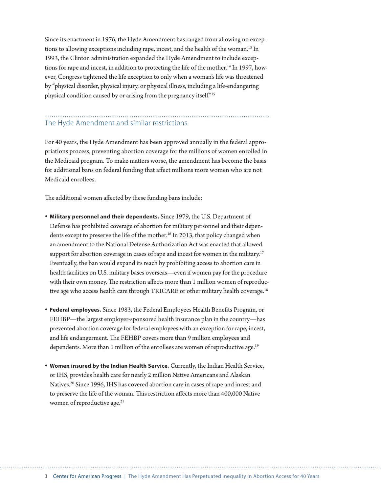Since its enactment in 1976, the Hyde Amendment has ranged from allowing no exceptions to allowing exceptions including rape, incest, and the health of the woman.<sup>13</sup> In 1993, the Clinton administration expanded the Hyde Amendment to include exceptions for rape and incest, in addition to protecting the life of the mother.<sup>14</sup> In 1997, however, Congress tightened the life exception to only when a woman's life was threatened by "physical disorder, physical injury, or physical illness, including a life-endangering physical condition caused by or arising from the pregnancy itself."15

### The Hyde Amendment and similar restrictions

For 40 years, the Hyde Amendment has been approved annually in the federal appropriations process, preventing abortion coverage for the millions of women enrolled in the Medicaid program. To make matters worse, the amendment has become the basis for additional bans on federal funding that affect millions more women who are not Medicaid enrollees.

The additional women affected by these funding bans include:

- **• Military personnel and their dependents.** Since 1979, the U.S. Department of Defense has prohibited coverage of abortion for military personnel and their dependents except to preserve the life of the mother.<sup>16</sup> In 2013, that policy changed when an amendment to the National Defense Authorization Act was enacted that allowed support for abortion coverage in cases of rape and incest for women in the military.<sup>17</sup> Eventually, the ban would expand its reach by prohibiting access to abortion care in health facilities on U.S. military bases overseas—even if women pay for the procedure with their own money. The restriction affects more than 1 million women of reproductive age who access health care through TRICARE or other military health coverage.<sup>18</sup>
- **• Federal employees.** Since 1983, the Federal Employees Health Benefits Program, or FEHBP—the largest employer-sponsored health insurance plan in the country—has prevented abortion coverage for federal employees with an exception for rape, incest, and life endangerment. The FEHBP covers more than 9 million employees and dependents. More than 1 million of the enrollees are women of reproductive age.<sup>19</sup>
- **• Women insured by the Indian Health Service.** Currently, the Indian Health Service, or IHS, provides health care for nearly 2 million Native Americans and Alaskan Natives.<sup>20</sup> Since 1996, IHS has covered abortion care in cases of rape and incest and to preserve the life of the woman. This restriction affects more than 400,000 Native women of reproductive age.<sup>21</sup>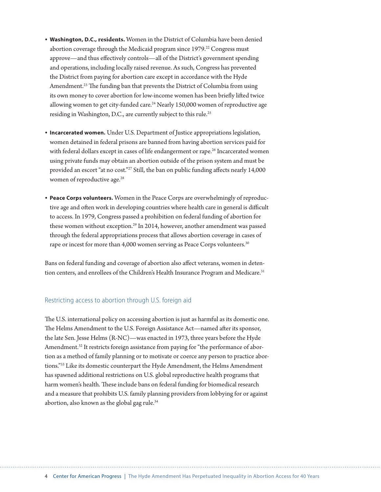- **• Washington, D.C., residents.** Women in the District of Columbia have been denied abortion coverage through the Medicaid program since 1979.<sup>22</sup> Congress must approve—and thus effectively controls—all of the District's government spending and operations, including locally raised revenue. As such, Congress has prevented the District from paying for abortion care except in accordance with the Hyde Amendment.<sup>23</sup> The funding ban that prevents the District of Columbia from using its own money to cover abortion for low-income women has been briefly lifted twice allowing women to get city-funded care.<sup>24</sup> Nearly 150,000 women of reproductive age residing in Washington, D.C., are currently subject to this rule.<sup>25</sup>
- **• Incarcerated women.** Under U.S. Department of Justice appropriations legislation, women detained in federal prisons are banned from having abortion services paid for with federal dollars except in cases of life endangerment or rape.<sup>26</sup> Incarcerated women using private funds may obtain an abortion outside of the prison system and must be provided an escort "at no cost."27 Still, the ban on public funding affects nearly 14,000 women of reproductive age.<sup>28</sup>
- **• Peace Corps volunteers.** Women in the Peace Corps are overwhelmingly of reproductive age and often work in developing countries where health care in general is difficult to access. In 1979, Congress passed a prohibition on federal funding of abortion for these women without exception.<sup>29</sup> In 2014, however, another amendment was passed through the federal appropriations process that allows abortion coverage in cases of rape or incest for more than 4,000 women serving as Peace Corps volunteers.<sup>30</sup>

Bans on federal funding and coverage of abortion also affect veterans, women in detention centers, and enrollees of the Children's Health Insurance Program and Medicare.<sup>31</sup>

#### Restricting access to abortion through U.S. foreign aid

The U.S. international policy on accessing abortion is just as harmful as its domestic one. The Helms Amendment to the U.S. Foreign Assistance Act—named after its sponsor, the late Sen. Jesse Helms (R-NC)—was enacted in 1973, three years before the Hyde Amendment.<sup>32</sup> It restricts foreign assistance from paying for "the performance of abortion as a method of family planning or to motivate or coerce any person to practice abortions."33 Like its domestic counterpart the Hyde Amendment, the Helms Amendment has spawned additional restrictions on U.S. global reproductive health programs that harm women's health. These include bans on federal funding for biomedical research and a measure that prohibits U.S. family planning providers from lobbying for or against abortion, also known as the global gag rule.<sup>34</sup>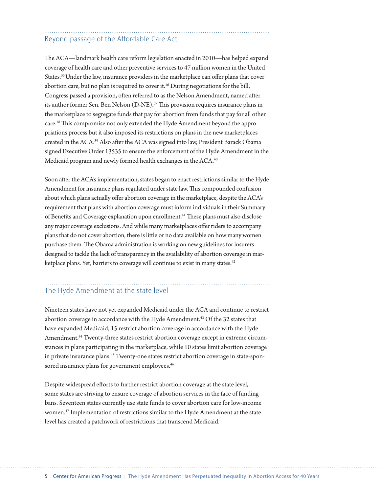## Beyond passage of the Affordable Care Act

The ACA—landmark health care reform legislation enacted in 2010—has helped expand coverage of health care and other preventive services to 47 million women in the United States.35 Under the law, insurance providers in the marketplace can offer plans that cover abortion care, but no plan is required to cover it.<sup>36</sup> During negotiations for the bill, Congress passed a provision, often referred to as the Nelson Amendment, named after its author former Sen. Ben Nelson (D-NE).37 This provision requires insurance plans in the marketplace to segregate funds that pay for abortion from funds that pay for all other care.38 This compromise not only extended the Hyde Amendment beyond the appropriations process but it also imposed its restrictions on plans in the new marketplaces created in the ACA.39 Also after the ACA was signed into law, President Barack Obama signed Executive Order 13535 to ensure the enforcement of the Hyde Amendment in the Medicaid program and newly formed health exchanges in the ACA.<sup>40</sup>

Soon after the ACA's implementation, states began to enact restrictions similar to the Hyde Amendment for insurance plans regulated under state law. This compounded confusion about which plans actually offer abortion coverage in the marketplace, despite the ACA's requirement that plans with abortion coverage must inform individuals in their Summary of Benefits and Coverage explanation upon enrollment.<sup>41</sup> These plans must also disclose any major coverage exclusions. And while many marketplaces offer riders to accompany plans that do not cover abortion, there is little or no data available on how many women purchase them. The Obama administration is working on new guidelines for insurers designed to tackle the lack of transparency in the availability of abortion coverage in marketplace plans. Yet, barriers to coverage will continue to exist in many states.<sup>42</sup>

## The Hyde Amendment at the state level

Nineteen states have not yet expanded Medicaid under the ACA and continue to restrict abortion coverage in accordance with the Hyde Amendment.<sup>43</sup> Of the 32 states that have expanded Medicaid, 15 restrict abortion coverage in accordance with the Hyde Amendment.<sup>44</sup> Twenty-three states restrict abortion coverage except in extreme circumstances in plans participating in the marketplace, while 10 states limit abortion coverage in private insurance plans.<sup>45</sup> Twenty-one states restrict abortion coverage in state-sponsored insurance plans for government employees.<sup>46</sup>

Despite widespread efforts to further restrict abortion coverage at the state level, some states are striving to ensure coverage of abortion services in the face of funding bans. Seventeen states currently use state funds to cover abortion care for low-income women.47 Implementation of restrictions similar to the Hyde Amendment at the state level has created a patchwork of restrictions that transcend Medicaid.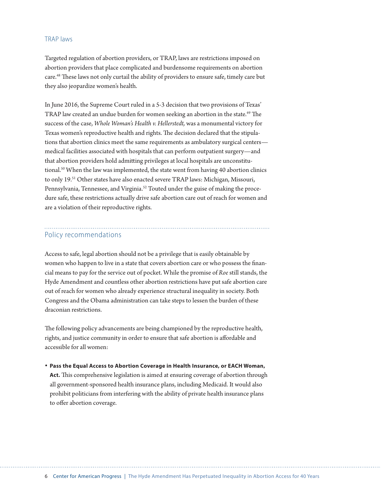#### TRAP laws

Targeted regulation of abortion providers, or TRAP, laws are restrictions imposed on abortion providers that place complicated and burdensome requirements on abortion care.48 These laws not only curtail the ability of providers to ensure safe, timely care but they also jeopardize women's health.

In June 2016, the Supreme Court ruled in a 5-3 decision that two provisions of Texas' TRAP law created an undue burden for women seeking an abortion in the state.<sup>49</sup> The success of the case, *Whole Woman's Health v. Hellerstedt,* was a monumental victory for Texas women's reproductive health and rights. The decision declared that the stipulations that abortion clinics meet the same requirements as ambulatory surgical centers medical facilities associated with hospitals that can perform outpatient surgery—and that abortion providers hold admitting privileges at local hospitals are unconstitutional.50 When the law was implemented, the state went from having 40 abortion clinics to only 19.51 Other states have also enacted severe TRAP laws: Michigan, Missouri, Pennsylvania, Tennessee, and Virginia.<sup>52</sup> Touted under the guise of making the procedure safe, these restrictions actually drive safe abortion care out of reach for women and are a violation of their reproductive rights.

#### Policy recommendations

Access to safe, legal abortion should not be a privilege that is easily obtainable by women who happen to live in a state that covers abortion care or who possess the financial means to pay for the service out of pocket. While the promise of *Roe* still stands, the Hyde Amendment and countless other abortion restrictions have put safe abortion care out of reach for women who already experience structural inequality in society. Both Congress and the Obama administration can take steps to lessen the burden of these draconian restrictions.

The following policy advancements are being championed by the reproductive health, rights, and justice community in order to ensure that safe abortion is affordable and accessible for all women:

#### **• Pass the Equal Access to Abortion Coverage in Health Insurance, or EACH Woman,**

**Act.** This comprehensive legislation is aimed at ensuring coverage of abortion through all government-sponsored health insurance plans, including Medicaid. It would also prohibit politicians from interfering with the ability of private health insurance plans to offer abortion coverage.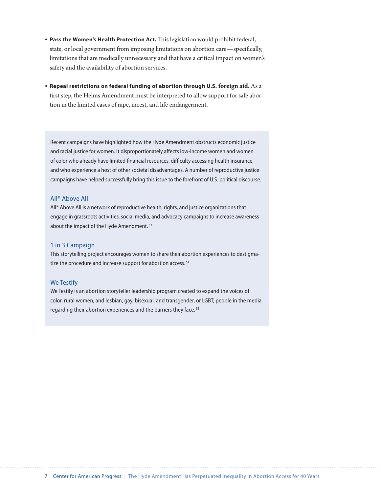- **• Pass the Women's Health Protection Act.** This legislation would prohibit federal, state, or local government from imposing limitations on abortion care—specifically, limitations that are medically unnecessary and that have a critical impact on women's safety and the availability of abortion services.
- **• Repeal restrictions on federal funding of abortion through U.S. foreign aid.** As a first step, the Helms Amendment must be interpreted to allow support for safe abortion in the limited cases of rape, incest, and life endangerment.

Recent campaigns have highlighted how the Hyde Amendment obstructs economic justice and racial justice for women. It disproportionately affects low-income women and women of color who already have limited financial resources, difficulty accessing health insurance, and who experience a host of other societal disadvantages. A number of reproductive justice campaigns have helped successfully bring this issue to the forefront of U.S. political discourse.

#### All\* Above All

All\* Above All is a network of reproductive health, rights, and justice organizations that engage in grassroots activities, social media, and advocacy campaigns to increase awareness about the impact of the Hyde Amendment.<sup>53</sup>

#### 1 in 3 Campaign

This storytelling project encourages women to share their abortion experiences to destigmatize the procedure and increase support for abortion access.<sup>54</sup>

#### We Testify

We Testify is an abortion storyteller leadership program created to expand the voices of color, rural women, and lesbian, gay, bisexual, and transgender, or LGBT, people in the media regarding their abortion experiences and the barriers they face. 55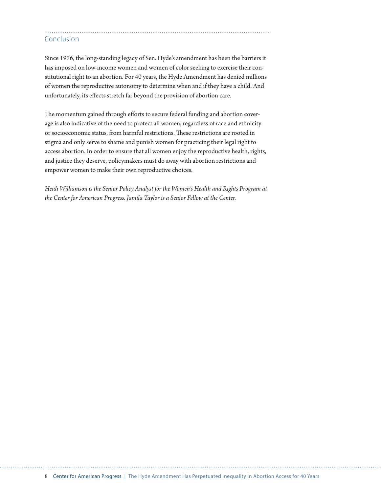#### Conclusion

Since 1976, the long-standing legacy of Sen. Hyde's amendment has been the barriers it has imposed on low-income women and women of color seeking to exercise their constitutional right to an abortion. For 40 years, the Hyde Amendment has denied millions of women the reproductive autonomy to determine when and if they have a child. And unfortunately, its effects stretch far beyond the provision of abortion care.

The momentum gained through efforts to secure federal funding and abortion coverage is also indicative of the need to protect all women, regardless of race and ethnicity or socioeconomic status, from harmful restrictions. These restrictions are rooted in stigma and only serve to shame and punish women for practicing their legal right to access abortion. In order to ensure that all women enjoy the reproductive health, rights, and justice they deserve, policymakers must do away with abortion restrictions and empower women to make their own reproductive choices.

*Heidi Williamson is the Senior Policy Analyst for the Women's Health and Rights Program at the Center for American Progress. Jamila Taylor is a Senior Fellow at the Center.*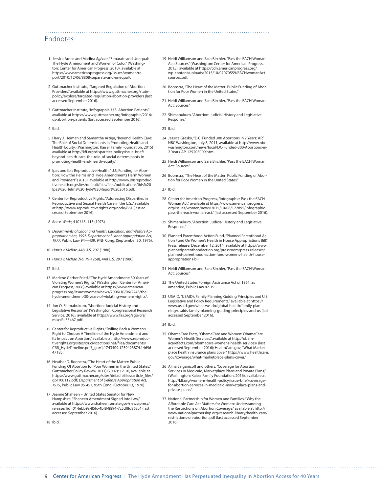#### Endnotes

- 1 Jessica Arons and Madina *Agénor*, "Separate and Unequal: The Hyde Amendment and Women of Color," (Washington: Center for American Progress, 2010), available at [https://www.americanprogress.org/issues/women/re](https://www.americanprogress.org/issues/women/report/2010/12/06/8808/separate-and-unequal/)[port/2010/12/06/8808/separate-and-unequal/](https://www.americanprogress.org/issues/women/report/2010/12/06/8808/separate-and-unequal/).
- 2 Guttmacher Institute, "Targeted Regulation of Abortion Providers," available at [https://www.guttmacher.org/state](https://www.guttmacher.org/state-policy/explore/targeted-regulation-abortion-providers)[policy/explore/targeted-regulation-abortion-providers](https://www.guttmacher.org/state-policy/explore/targeted-regulation-abortion-providers) (last accessed September 2016).
- 3 Guttmacher Institute, "Infographic: U.S. Abortion Patients," available at [https://www.guttmacher.org/infographic/2016/](https://www.guttmacher.org/infographic/2016/us-abortion-patients) [us-abortion-patients](https://www.guttmacher.org/infographic/2016/us-abortion-patients) (last accessed September 2016).
- 4 Ibid.
- 5 Harry J. Heiman and Samantha Artiga, "Beyond Health Care: The Role of Social Determinants in Promoting Health and Health Equity, (Washington: Kaiser Family Foundation, 2015) available at [http://kff.org/disparities-policy/issue-brief/](http://kff.org/disparities-policy/issue-brief/beyond-health-care-the-role-of-social-determinants-in-promoting-health-and-health-equity/) [beyond-health-care-the-role-of-social-determinants-in](http://kff.org/disparities-policy/issue-brief/beyond-health-care-the-role-of-social-determinants-in-promoting-health-and-health-equity/)[promoting-health-and-health-equity/.](http://kff.org/disparities-policy/issue-brief/beyond-health-care-the-role-of-social-determinants-in-promoting-health-and-health-equity/)
- 6 Ipas and Ibis Reproductive Health, "U.S. Funding for Abortion: How the Helms and Hyde Amendments Harm Women and Providers" (2015), available at [http://www.ibisreproduc](http://www.ibisreproductivehealth.org/sites/default/files/files/publications/Ibis%20Ipas%20Helms%20Hyde%20Report%202016.pdf)[tivehealth.org/sites/default/files/files/publications/Ibis%20](http://www.ibisreproductivehealth.org/sites/default/files/files/publications/Ibis%20Ipas%20Helms%20Hyde%20Report%202016.pdf) [Ipas%20Helms%20Hyde%20Report%202016.pdf.](http://www.ibisreproductivehealth.org/sites/default/files/files/publications/Ibis%20Ipas%20Helms%20Hyde%20Report%202016.pdf)
- 7 Center for Reproductive Rights, "Addressing Disparities in Reproductive and Sexual Health Care in the U.S.," available at <http://www.reproductiverights.org/node/861> (last accessed September 2016).
- 8 *Roe v. Wade,* [410](https://en.wikipedia.org/wiki/List_of_United_States_Supreme_Court_cases,_volume_410) [U.S.](https://en.wikipedia.org/wiki/United_States_Reports) [113](https://supreme.justia.com/cases/federal/us/410/113/) (1973)
- 9 *Departments of Labor and Health, Education, and Welfare Appropriation Act, 1997. Department of Labor Appropriation Act, 1977,* Public Law 94—439*,* 94th Cong. (September 30, 1976).
- 10 *Harris v. McRae*, 448 [U.S.](https://en.wikipedia.org/wiki/United_States_Reports) [297](https://supreme.justia.com/us/448/297/case.html) (1980)
- 11 *Harris v. McRae* (No. 79-1268), 448 [U.S.](https://en.wikipedia.org/wiki/United_States_Reports) [297](https://supreme.justia.com/us/448/297/case.html) (1980)
- 12 Ibid.
- 13 Marlene Gerber Fried, "The Hyde Amendment: 30 Years of Violating Women's Rights," (Washington: Center for American Progress, 2006) available at [https://www.american](https://www.americanprogress.org/issues/women/news/2006/10/06/2243/the-hyde-amendment-30-years-of-violating-womens-rights/)[progress.org/issues/women/news/2006/10/06/2243/the](https://www.americanprogress.org/issues/women/news/2006/10/06/2243/the-hyde-amendment-30-years-of-violating-womens-rights/)[hyde-amendment-30-years-of-violating-womens-rights/](https://www.americanprogress.org/issues/women/news/2006/10/06/2243/the-hyde-amendment-30-years-of-violating-womens-rights/).
- 14 Jon O. Shimabukuro, "Abortion: Judicial History and Legislative Response" (Washington: Congressional Research Service, 2016), available at [https://www.fas.org/sgp/crs/](https://www.fas.org/sgp/crs/misc/RL33467.pdf) [misc/RL33467.pdf](https://www.fas.org/sgp/crs/misc/RL33467.pdf).
- 15 Center for Reproductive Rights, "Rolling Back a Woman's Right to Choose: A Timeline of the Hyde Amendment and Its Impact on Abortion," available at [http://www.reproduc](http://www.reproductiverights.org/sites/crr.civicactions.net/files/documents/CRR_HydeTimeline.pdf?_ga=1.1743409.1239423874.1469647185)[tiverights.org/sites/crr.civicactions.net/files/documents/](http://www.reproductiverights.org/sites/crr.civicactions.net/files/documents/CRR_HydeTimeline.pdf?_ga=1.1743409.1239423874.1469647185) [CRR\\_HydeTimeline.pdf?\\_ga=1.1743409.1239423874.14696](http://www.reproductiverights.org/sites/crr.civicactions.net/files/documents/CRR_HydeTimeline.pdf?_ga=1.1743409.1239423874.1469647185) [47185.](http://www.reproductiverights.org/sites/crr.civicactions.net/files/documents/CRR_HydeTimeline.pdf?_ga=1.1743409.1239423874.1469647185)
- 16 Heather D. Boonstra, "The Heart of the Matter: Public Funding Of Abortion for Poor Women in the United States," Guttmacher Policy Review 10 (1) (2007): 12-16, available at [https://www.guttmacher.org/sites/default/files/article\\_files/](https://www.guttmacher.org/sites/default/files/article_files/gpr100112.pdf) [gpr100112.pdf](https://www.guttmacher.org/sites/default/files/article_files/gpr100112.pdf); *Department of Defense Appropriation Act, 1979*, Public Law 95-457, 95th Cong. (October 13, 1978).
- 17 Jeanne Shaheen United States Senator for New Hampshire, "Shaheen Amendment Signed Into Law," available at [https://www.shaheen.senate.gov/news/press/](https://www.shaheen.senate.gov/news/press/release/?id=014ebb9a-85fc-4bf8-8894-7c5df8d863c4) [release/?id=014ebb9a-85fc-4bf8-8894-7c5df8d863c4](https://www.shaheen.senate.gov/news/press/release/?id=014ebb9a-85fc-4bf8-8894-7c5df8d863c4) (last accessed September 2016).

18 Ibid.

- 19 Heidi Williamson and Sara Birchler, "Pass the EACH Woman Act: Sources" (Washington: Center for American Progress, 2015), available at [https://cdn.americanprogress.org/](https://cdn.americanprogress.org/wp-content/uploads/2015/10/07070559/EACHwomanAct-sources.pdf) [wp-content/uploads/2015/10/07070559/EACHwomanAct](https://cdn.americanprogress.org/wp-content/uploads/2015/10/07070559/EACHwomanAct-sources.pdf)[sources.pdf](https://cdn.americanprogress.org/wp-content/uploads/2015/10/07070559/EACHwomanAct-sources.pdf).
- 20 Boonstra, "The Heart of the Matter: Public Funding of Abortion for Poor Women in the United States."
- 21 Heidi Williamson and Sara Birchler, "Pass the EACH Woman Act: Sources."
- 22 Shimabukuro, "Abortion: Judicial History and Legislative Response."
- 23 Ibid.

- 24 Jessica Gresko, "D.C. Funded 300 Abortions in 2 Years: AP," NBC Washington, July 8, 2011, available at [http://www.nbc](http://www.nbcwashington.com/news/local/DC-Funded-300-Abortions-in-2-Years-AP-125205009.html)[washington.com/news/local/DC-Funded-300-Abortions-in-](http://www.nbcwashington.com/news/local/DC-Funded-300-Abortions-in-2-Years-AP-125205009.html)[2-Years-AP-125205009.html.](http://www.nbcwashington.com/news/local/DC-Funded-300-Abortions-in-2-Years-AP-125205009.html)
- 25 Heidi Williamson and Sara Birchler, "Pass the EACH Woman Act: Sources."
- 26 Boonstra, "The Heart of the Matter: Public Funding of Abortion for Poor Women in the United States."
- 27 Ibid.
- 28 Center for American Progress, "Infographic: Pass the EACH Woman Act," available at [https://www.americanprogress.](https://www.americanprogress.org/issues/women/news/2015/10/08/122895/infographic-pass-the-each-woman-act/) [org/issues/women/news/2015/10/08/122895/infographic](https://www.americanprogress.org/issues/women/news/2015/10/08/122895/infographic-pass-the-each-woman-act/)[pass-the-each-woman-act/](https://www.americanprogress.org/issues/women/news/2015/10/08/122895/infographic-pass-the-each-woman-act/) (last accessed September 2016).
- 29 Shimabukuro, "Abortion: Judicial History and Legislative Response."
- 30 Planned Parenthood Action Fund, "Planned Parenthood Action Fund On Women's Health in House Appropriations Bill," Press release, December 12, 2014, available at [https://www.](https://www.plannedparenthoodaction.org/pressroom/press-releases/planned-parenthood-action-fund-womens-health-house-appropriations-bill) [plannedparenthoodaction.org/pressroom/press-releases/](https://www.plannedparenthoodaction.org/pressroom/press-releases/planned-parenthood-action-fund-womens-health-house-appropriations-bill) [planned-parenthood-action-fund-womens-health-house](https://www.plannedparenthoodaction.org/pressroom/press-releases/planned-parenthood-action-fund-womens-health-house-appropriations-bill)[appropriations-bill.](https://www.plannedparenthoodaction.org/pressroom/press-releases/planned-parenthood-action-fund-womens-health-house-appropriations-bill)
- 31 Heidi Williamson and Sara Birchler, "Pass the EACH Woman Act: Sources."
- 32 The United States Foreign Assistance Act of 1961, as amended, Public Law 87-195.
- 33 USAID, "USAID's Family Planning Guiding Principles and U.S. Legislative and Policy Requirements," available at [https://](https://www.usaid.gov/what-we-do/global-health/family-planning/usaids-family-planning-guiding-principles-and-us) [www.usaid.gov/what-we-do/global-health/family-plan](https://www.usaid.gov/what-we-do/global-health/family-planning/usaids-family-planning-guiding-principles-and-us)[ning/usaids-family-planning-guiding-principles-and-us](https://www.usaid.gov/what-we-do/global-health/family-planning/usaids-family-planning-guiding-principles-and-us) (last accessed September 2016).
- 34 Ibid.
- 35 ObamaCare Facts, "ObamaCare and Women: ObamaCare Women's Health Services," available at [http://obam](http://obamacarefacts.com/obamacare-womens-health-services/)[acarefacts.com/obamacare-womens-health-services/](http://obamacarefacts.com/obamacare-womens-health-services/) (last accessed September 2016); HealthCare.gov, "What Marketplace health insurance plans cover," [https://www.healthcare.](https://www.healthcare.gov/coverage/what-marketplace-plans-cover/) [gov/coverage/what-marketplace-plans-cover/](https://www.healthcare.gov/coverage/what-marketplace-plans-cover/)
- 36 Alina Salganicoff and others, "Coverage for Abortion Services in Medicaid, Marketplace Plans and Private Plans," (Washington: Kaiser Family Foundation, 2016), available at [http://kff.org/womens-health-policy/issue-brief/coverage](http://kff.org/womens-health-policy/issue-brief/coverage-for-abortion-services-in-medicaid-marketplace-plans-and-private-plans/)[for-abortion-services-in-medicaid-marketplace-plans-and](http://kff.org/womens-health-policy/issue-brief/coverage-for-abortion-services-in-medicaid-marketplace-plans-and-private-plans/)[private-plans/](http://kff.org/womens-health-policy/issue-brief/coverage-for-abortion-services-in-medicaid-marketplace-plans-and-private-plans/).
- 37 National Partnership for Women and Families, "Why the Affordable Care Act Matters for Women: Understanding the Restrictions on Abortion Coverage," available at [http://](http://www.nationalpartnership.org/research-library/health-care/restrictions-on-abortion.pdf) [www.nationalpartnership.org/research-library/health-care/](http://www.nationalpartnership.org/research-library/health-care/restrictions-on-abortion.pdf) [restrictions-on-abortion.pdf](http://www.nationalpartnership.org/research-library/health-care/restrictions-on-abortion.pdf) (last accessed September 2016).